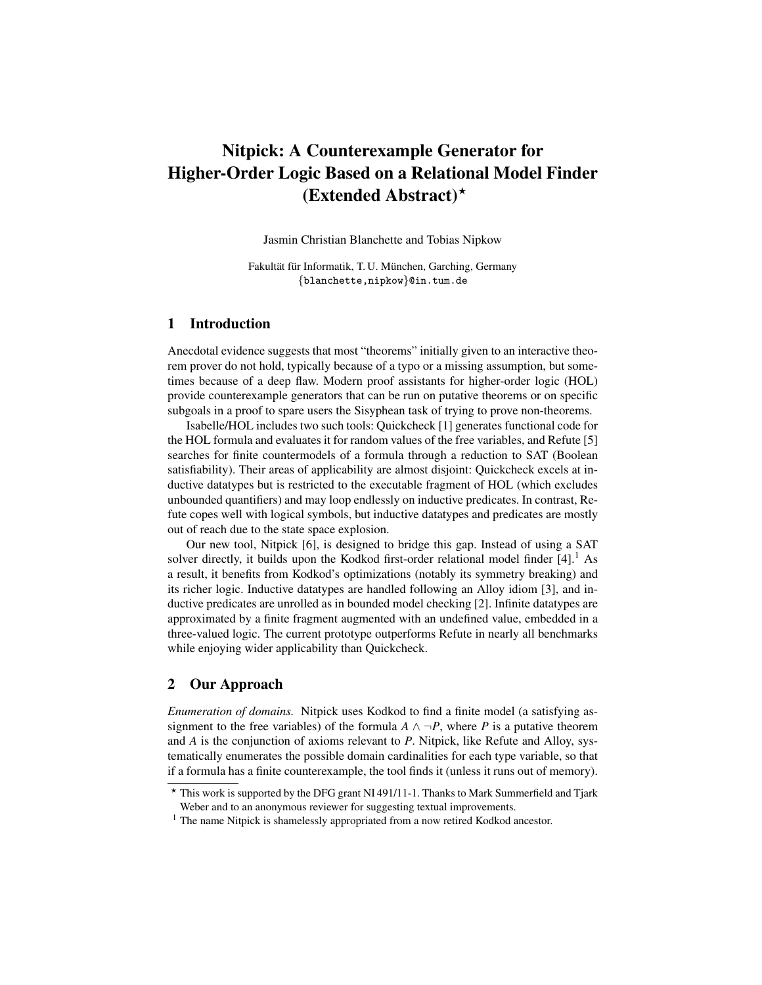# Nitpick: A Counterexample Generator for Higher-Order Logic Based on a Relational Model Finder  $(Extended Abstract)^{\star}$

Jasmin Christian Blanchette and Tobias Nipkow

Fakultät für Informatik, T. U. München, Garching, Germany {blanchette,nipkow}@in.tum.de

# 1 Introduction

Anecdotal evidence suggests that most "theorems" initially given to an interactive theorem prover do not hold, typically because of a typo or a missing assumption, but sometimes because of a deep flaw. Modern proof assistants for higher-order logic (HOL) provide counterexample generators that can be run on putative theorems or on specific subgoals in a proof to spare users the Sisyphean task of trying to prove non-theorems.

Isabelle/HOL includes two such tools: Quickcheck [1] generates functional code for the HOL formula and evaluates it for random values of the free variables, and Refute [5] searches for finite countermodels of a formula through a reduction to SAT (Boolean satisfiability). Their areas of applicability are almost disjoint: Quickcheck excels at inductive datatypes but is restricted to the executable fragment of HOL (which excludes unbounded quantifiers) and may loop endlessly on inductive predicates. In contrast, Refute copes well with logical symbols, but inductive datatypes and predicates are mostly out of reach due to the state space explosion.

Our new tool, Nitpick [6], is designed to bridge this gap. Instead of using a SAT solver directly, it builds upon the Kodkod first-order relational model finder  $[4]$ .<sup>1</sup> As a result, it benefits from Kodkod's optimizations (notably its symmetry breaking) and its richer logic. Inductive datatypes are handled following an Alloy idiom [3], and inductive predicates are unrolled as in bounded model checking [2]. Infinite datatypes are approximated by a finite fragment augmented with an undefined value, embedded in a three-valued logic. The current prototype outperforms Refute in nearly all benchmarks while enjoying wider applicability than Quickcheck.

### 2 Our Approach

*Enumeration of domains.* Nitpick uses Kodkod to find a finite model (a satisfying assignment to the free variables) of the formula  $A \land \neg P$ , where P is a putative theorem and *A* is the conjunction of axioms relevant to *P*. Nitpick, like Refute and Alloy, systematically enumerates the possible domain cardinalities for each type variable, so that if a formula has a finite counterexample, the tool finds it (unless it runs out of memory).

<sup>?</sup> This work is supported by the DFG grant NI 491/11-1. Thanks to Mark Summerfield and Tjark Weber and to an anonymous reviewer for suggesting textual improvements.

 $<sup>1</sup>$  The name Nitpick is shamelessly appropriated from a now retired Kodkod ancestor.</sup>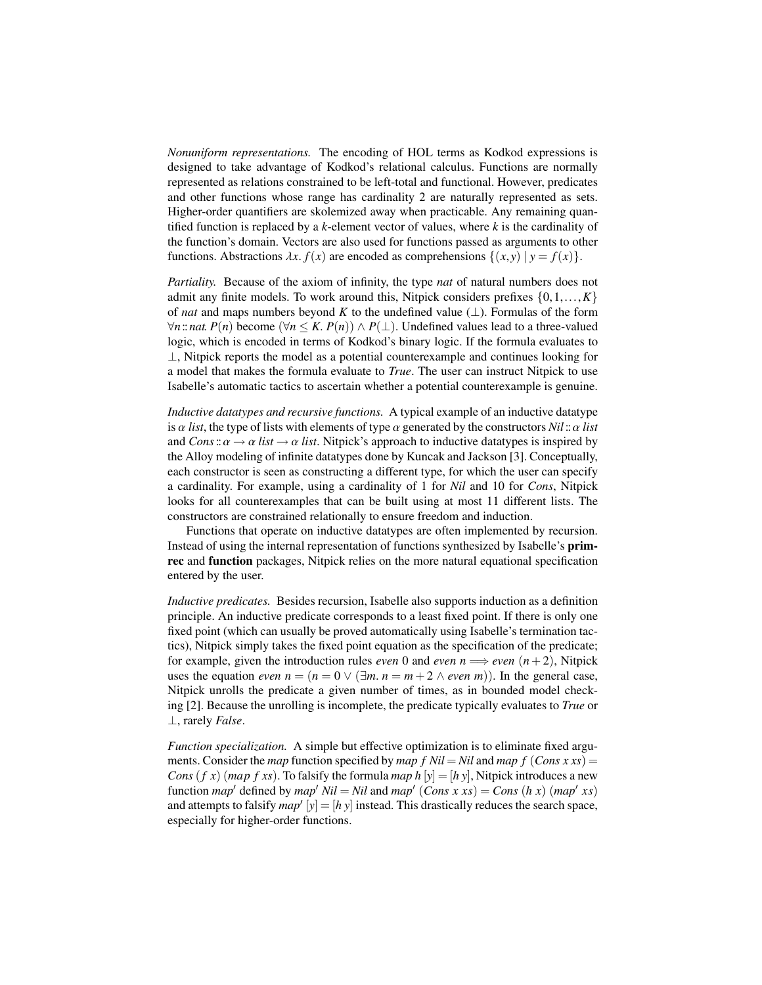*Nonuniform representations.* The encoding of HOL terms as Kodkod expressions is designed to take advantage of Kodkod's relational calculus. Functions are normally represented as relations constrained to be left-total and functional. However, predicates and other functions whose range has cardinality 2 are naturally represented as sets. Higher-order quantifiers are skolemized away when practicable. Any remaining quantified function is replaced by a *k*-element vector of values, where *k* is the cardinality of the function's domain. Vectors are also used for functions passed as arguments to other functions. Abstractions  $\lambda x$ .  $f(x)$  are encoded as comprehensions  $\{(x, y) | y = f(x)\}$ .

*Partiality.* Because of the axiom of infinity, the type *nat* of natural numbers does not admit any finite models. To work around this, Nitpick considers prefixes  $\{0,1,\ldots,K\}$ of *nat* and maps numbers beyond *K* to the undefined value ( $\perp$ ). Formulas of the form  $\forall n$ :*nat*. *P*(*n*) become ( $\forall n \le K$ . *P*(*n*)) ∧ *P*(⊥). Undefined values lead to a three-valued logic, which is encoded in terms of Kodkod's binary logic. If the formula evaluates to ⊥, Nitpick reports the model as a potential counterexample and continues looking for a model that makes the formula evaluate to *True*. The user can instruct Nitpick to use Isabelle's automatic tactics to ascertain whether a potential counterexample is genuine.

*Inductive datatypes and recursive functions.* A typical example of an inductive datatype is  $\alpha$  *list*, the type of lists with elements of type  $\alpha$  generated by the constructors  $Nil$  ::  $\alpha$  *list* and  $Cons: \alpha \rightarrow \alpha$  *list*  $\rightarrow \alpha$  *list*. Nitpick's approach to inductive datatypes is inspired by the Alloy modeling of infinite datatypes done by Kuncak and Jackson [3]. Conceptually, each constructor is seen as constructing a different type, for which the user can specify a cardinality. For example, using a cardinality of 1 for *Nil* and 10 for *Cons*, Nitpick looks for all counterexamples that can be built using at most 11 different lists. The constructors are constrained relationally to ensure freedom and induction.

Functions that operate on inductive datatypes are often implemented by recursion. Instead of using the internal representation of functions synthesized by Isabelle's primrec and function packages, Nitpick relies on the more natural equational specification entered by the user.

*Inductive predicates.* Besides recursion, Isabelle also supports induction as a definition principle. An inductive predicate corresponds to a least fixed point. If there is only one fixed point (which can usually be proved automatically using Isabelle's termination tactics), Nitpick simply takes the fixed point equation as the specification of the predicate; for example, given the introduction rules *even* 0 and *even*  $n \Longrightarrow$  *even*  $(n+2)$ , Nitpick uses the equation *even*  $n = (n = 0 \vee (\exists m. n = m + 2 \wedge even m))$ . In the general case, Nitpick unrolls the predicate a given number of times, as in bounded model checking [2]. Because the unrolling is incomplete, the predicate typically evaluates to *True* or ⊥, rarely *False*.

*Function specialization.* A simple but effective optimization is to eliminate fixed arguments. Consider the *map* function specified by *map*  $f$  *Nil* = *Nil* and *map*  $f$  (*Cons*  $xxs$ ) = *Cons* (*f x*) (*map f xs*). To falsify the formula *map*  $h[y] = [h y]$ , Nitpick introduces a new function *map*<sup> $\prime$ </sup> defined by *map*<sup> $\prime$ </sup> *Nil* = *Nil* and *map*<sup> $\prime$ </sup> (*Cons x xs*) = *Cons* (*h x*) (*map*<sup> $\prime$ </sup> *xs*) and attempts to falsify  $map'$   $[y] = [h y]$  instead. This drastically reduces the search space, especially for higher-order functions.